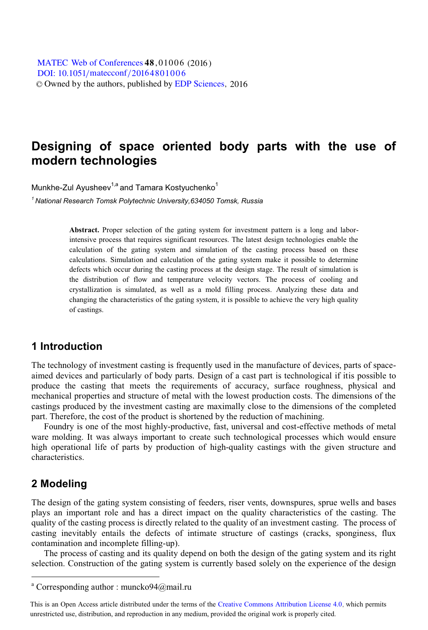# **Designing of space oriented body parts with the use of modern technologies**

Munkhe-Zul Ayusheev<sup>1,a</sup> and Tamara Kostyuchenko<sup>1</sup>

*1 National Research Tomsk Polytechnic University,634050 Tomsk, Russia* 

**Abstract.** Proper selection of the gating system for investment pattern is a long and laborintensive process that requires significant resources. The latest design technologies enable the calculation of the gating system and simulation of the casting process based on these calculations. Simulation and calculation of the gating system make it possible to determine defects which occur during the casting process at the design stage. The result of simulation is the distribution of flow and temperature velocity vectors. The process of cooling and crystallization is simulated, as well as a mold filling process. Analyzing these data and changing the characteristics of the gating system, it is possible to achieve the very high quality of castings.

#### **1 Introduction**

The technology of investment casting is frequently used in the manufacture of devices, parts of spaceaimed devices and particularly of body parts. Design of a cast part is technological if itis possible to produce the casting that meets the requirements of accuracy, surface roughness, physical and mechanical properties and structure of metal with the lowest production costs. The dimensions of the castings produced by the investment casting are maximally close to the dimensions of the completed part. Therefore, the cost of the product is shortened by the reduction of machining.

Foundry is one of the most highly-productive, fast, universal and cost-effective methods of metal ware molding. It was always important to create such technological processes which would ensure high operational life of parts by production of high-quality castings with the given structure and characteristics.

### **2 Modeling**

 $\overline{a}$ 

The design of the gating system consisting of feeders, riser vents, downspures, sprue wells and bases plays an important role and has a direct impact on the quality characteristics of the casting. The quality of the casting process is directly related to the quality of an investment casting. The process of casting inevitably entails the defects of intimate structure of castings (cracks, sponginess, flux contamination and incomplete filling-up).

The process of casting and its quality depend on both the design of the gating system and its right selection. Construction of the gating system is currently based solely on the experience of the design

a Corresponding author : muncko94@mail.ru

This is an Open Access article distributed under the terms of the Creative Commons Attribution License 4.0, which permits unrestricted use, distribution, and reproduction in any medium, provided the original work is properly cited.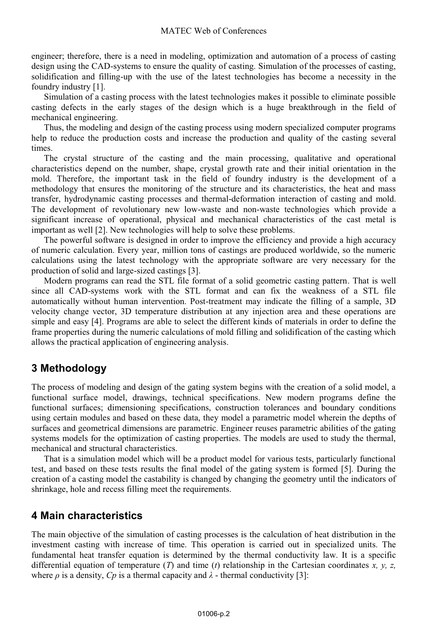engineer; therefore, there is a need in modeling, optimization and automation of a process of casting design using the CAD-systems to ensure the quality of casting. Simulation of the processes of casting, solidification and filling-up with the use of the latest technologies has become a necessity in the foundry industry [1].

Simulation of a casting process with the latest technologies makes it possible to eliminate possible casting defects in the early stages of the design which is a huge breakthrough in the field of mechanical engineering.

Thus, the modeling and design of the casting process using modern specialized computer programs help to reduce the production costs and increase the production and quality of the casting several times.

The crystal structure of the casting and the main processing, qualitative and operational characteristics depend on the number, shape, crystal growth rate and their initial orientation in the mold. Therefore, the important task in the field of foundry industry is the development of a methodology that ensures the monitoring of the structure and its characteristics, the heat and mass transfer, hydrodynamic casting processes and thermal-deformation interaction of casting and mold. The development of revolutionary new low-waste and non-waste technologies which provide a significant increase of operational, physical and mechanical characteristics of the cast metal is important as well [2]. New technologies will help to solve these problems.

The powerful software is designed in order to improve the efficiency and provide a high accuracy of numeric calculation. Every year, million tons of castings are produced worldwide, so the numeric calculations using the latest technology with the appropriate software are very necessary for the production of solid and large-sized castings [3].

Modern programs can read the STL file format of a solid geometric casting pattern. That is well since all CAD-systems work with the STL format and can fix the weakness of a STL file automatically without human intervention. Post-treatment may indicate the filling of a sample, 3D velocity change vector, 3D temperature distribution at any injection area and these operations are simple and easy [4]. Programs are able to select the different kinds of materials in order to define the frame properties during the numeric calculations of mold filling and solidification of the casting which allows the practical application of engineering analysis.

# **3 Methodology**

The process of modeling and design of the gating system begins with the creation of a solid model, a functional surface model, drawings, technical specifications. New modern programs define the functional surfaces; dimensioning specifications, construction tolerances and boundary conditions using certain modules and based on these data, they model a parametric model wherein the depths of surfaces and geometrical dimensions are parametric. Engineer reuses parametric abilities of the gating systems models for the optimization of casting properties. The models are used to study the thermal, mechanical and structural characteristics.

That is a simulation model which will be a product model for various tests, particularly functional test, and based on these tests results the final model of the gating system is formed [5]. During the creation of a casting model the castability is changed by changing the geometry until the indicators of shrinkage, hole and recess filling meet the requirements.

## **4 Main characteristics**

The main objective of the simulation of casting processes is the calculation of heat distribution in the investment casting with increase of time. This operation is carried out in specialized units. The fundamental heat transfer equation is determined by the thermal conductivity law. It is a specific differential equation of temperature (*T*) and time (*t*) relationship in the Cartesian coordinates *x, y, z,* where  $\rho$  is a density,  $C_p$  is a thermal capacity and  $\lambda$  - thermal conductivity [3]: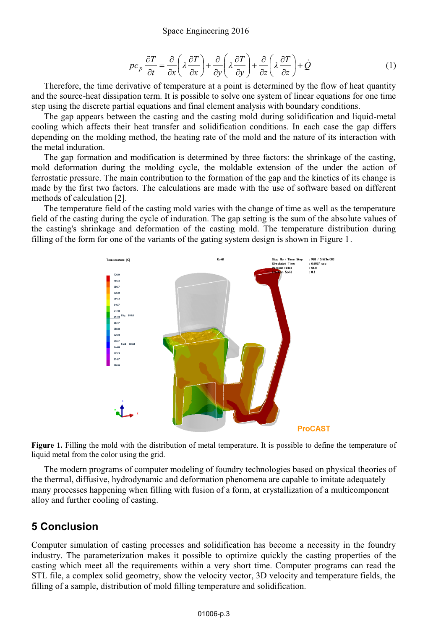#### Space Engineering 2016

$$
pc_p \frac{\partial T}{\partial t} = \frac{\partial}{\partial x} \left( \lambda \frac{\partial T}{\partial x} \right) + \frac{\partial}{\partial y} \left( \lambda \frac{\partial T}{\partial y} \right) + \frac{\partial}{\partial z} \left( \lambda \frac{\partial T}{\partial z} \right) + \dot{Q}
$$
(1)

Therefore, the time derivative of temperature at a point is determined by the flow of heat quantity and the source-heat dissipation term. It is possible to solve one system of linear equations for one time step using the discrete partial equations and final element analysis with boundary conditions.

The gap appears between the casting and the casting mold during solidification and liquid-metal cooling which affects their heat transfer and solidification conditions. In each case the gap differs depending on the molding method, the heating rate of the mold and the nature of its interaction with the metal induration.

The gap formation and modification is determined by three factors: the shrinkage of the casting, mold deformation during the molding cycle, the moldable extension of the under the action of ferrostatic pressure. The main contribution to the formation of the gap and the kinetics of its change is made by the first two factors. The calculations are made with the use of software based on different methods of calculation [2].

The temperature field of the casting mold varies with the change of time as well as the temperature field of the casting during the cycle of induration. The gap setting is the sum of the absolute values of the casting's shrinkage and deformation of the casting mold. The temperature distribution during filling of the form for one of the variants of the gating system design is shown in Figure 1.



**Figure 1.** Filling the mold with the distribution of metal temperature. It is possible to define the temperature of liquid metal from the color using the grid.

The modern programs of computer modeling of foundry technologies based on physical theories of the thermal, diffusive, hydrodynamic and deformation phenomena are capable to imitate adequately many processes happening when filling with fusion of a form, at crystallization of a multicomponent alloy and further cooling of casting.

#### **5 Conclusion**

Computer simulation of casting processes and solidification has become a necessity in the foundry industry. The parameterization makes it possible to optimize quickly the casting properties of the casting which meet all the requirements within a very short time. Computer programs can read the STL file, a complex solid geometry, show the velocity vector, 3D velocity and temperature fields, the filling of a sample, distribution of mold filling temperature and solidification.